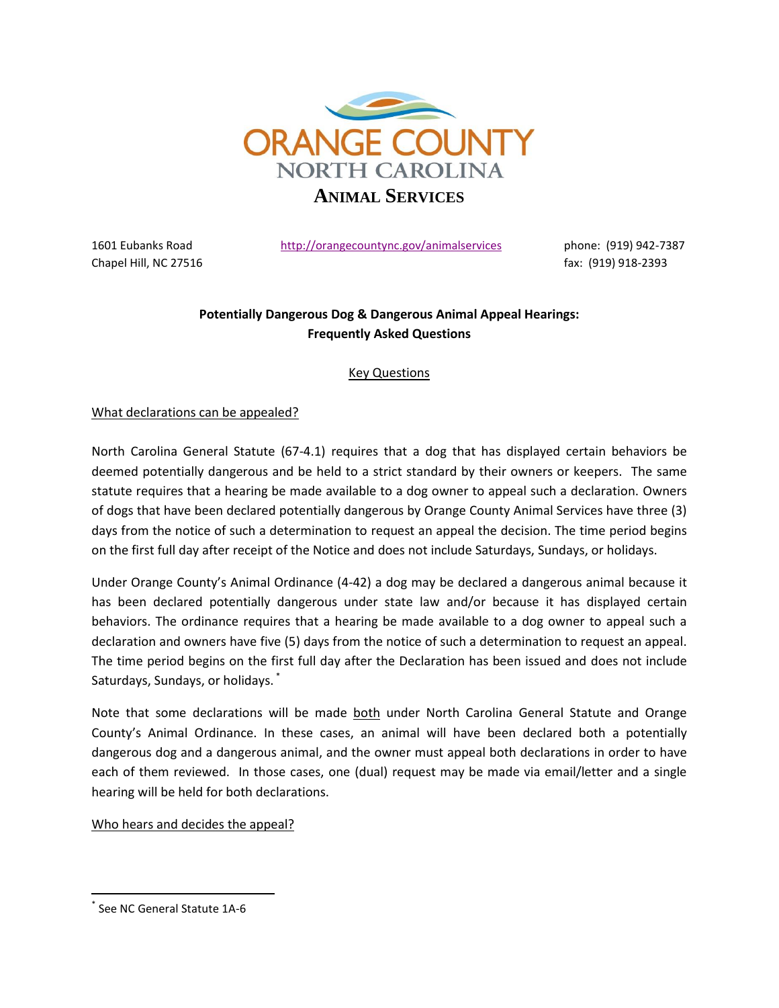

Chapel Hill, NC 27516 **fax: (919)** 918-2393

1601 Eubanks Road <http://orangecountync.gov/animalservices> phone: (919) 942-7387

# **Potentially Dangerous Dog & Dangerous Animal Appeal Hearings: Frequently Asked Questions**

## Key Questions

## What declarations can be appealed?

North Carolina General Statute (67-4.1) requires that a dog that has displayed certain behaviors be deemed potentially dangerous and be held to a strict standard by their owners or keepers. The same statute requires that a hearing be made available to a dog owner to appeal such a declaration. Owners of dogs that have been declared potentially dangerous by Orange County Animal Services have three (3) days from the notice of such a determination to request an appeal the decision. The time period begins on the first full day after receipt of the Notice and does not include Saturdays, Sundays, or holidays.

Under Orange County's Animal Ordinance (4-42) a dog may be declared a dangerous animal because it has been declared potentially dangerous under state law and/or because it has displayed certain behaviors. The ordinance requires that a hearing be made available to a dog owner to appeal such a declaration and owners have five (5) days from the notice of such a determination to request an appeal. The time period begins on the first full day after the Declaration has been issued and does not include Saturdays, Sundays, or holidays. \*

Note that some declarations will be made both under North Carolina General Statute and Orange County's Animal Ordinance. In these cases, an animal will have been declared both a potentially dangerous dog and a dangerous animal, and the owner must appeal both declarations in order to have each of them reviewed. In those cases, one (dual) request may be made via email/letter and a single hearing will be held for both declarations.

#### Who hears and decides the appeal?

 $\overline{\phantom{a}}$ 

<sup>\*</sup> See NC General Statute 1A-6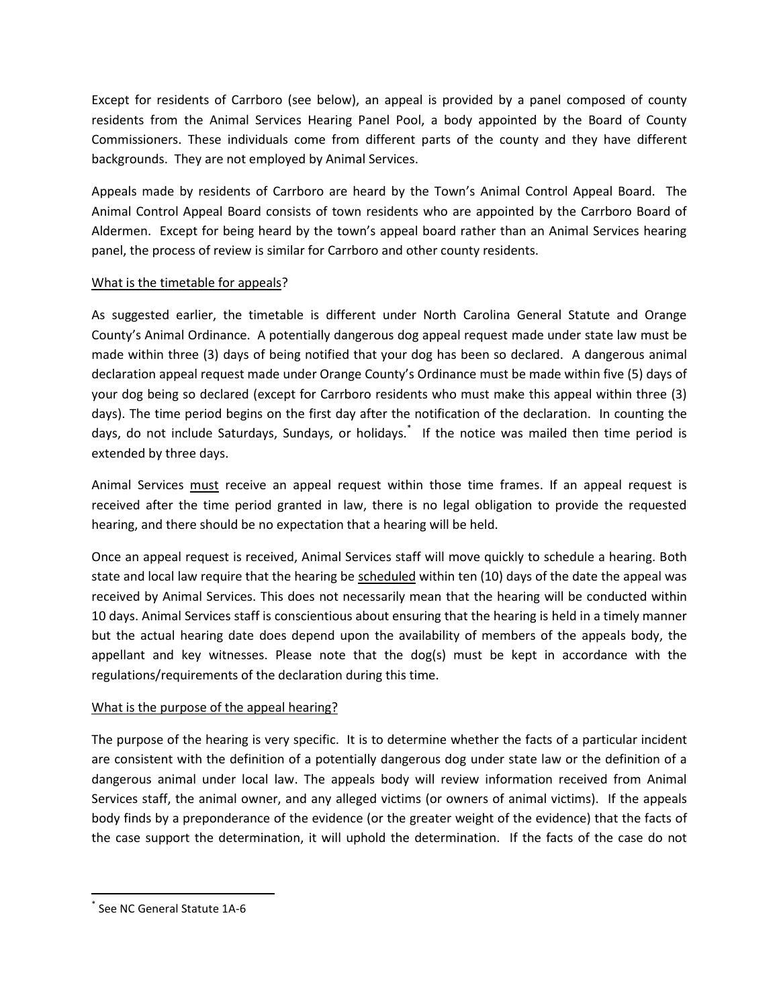Except for residents of Carrboro (see below), an appeal is provided by a panel composed of county residents from the Animal Services Hearing Panel Pool, a body appointed by the Board of County Commissioners. These individuals come from different parts of the county and they have different backgrounds. They are not employed by Animal Services.

Appeals made by residents of Carrboro are heard by the Town's Animal Control Appeal Board. The Animal Control Appeal Board consists of town residents who are appointed by the Carrboro Board of Aldermen. Except for being heard by the town's appeal board rather than an Animal Services hearing panel, the process of review is similar for Carrboro and other county residents.

### What is the timetable for appeals?

As suggested earlier, the timetable is different under North Carolina General Statute and Orange County's Animal Ordinance. A potentially dangerous dog appeal request made under state law must be made within three (3) days of being notified that your dog has been so declared. A dangerous animal declaration appeal request made under Orange County's Ordinance must be made within five (5) days of your dog being so declared (except for Carrboro residents who must make this appeal within three (3) days). The time period begins on the first day after the notification of the declaration. In counting the days, do not include Saturdays, Sundays, or holidays.<sup>\*</sup> If the notice was mailed then time period is extended by three days.

Animal Services must receive an appeal request within those time frames. If an appeal request is received after the time period granted in law, there is no legal obligation to provide the requested hearing, and there should be no expectation that a hearing will be held.

Once an appeal request is received, Animal Services staff will move quickly to schedule a hearing. Both state and local law require that the hearing be scheduled within ten (10) days of the date the appeal was received by Animal Services. This does not necessarily mean that the hearing will be conducted within 10 days. Animal Services staff is conscientious about ensuring that the hearing is held in a timely manner but the actual hearing date does depend upon the availability of members of the appeals body, the appellant and key witnesses. Please note that the dog(s) must be kept in accordance with the regulations/requirements of the declaration during this time.

## What is the purpose of the appeal hearing?

The purpose of the hearing is very specific. It is to determine whether the facts of a particular incident are consistent with the definition of a potentially dangerous dog under state law or the definition of a dangerous animal under local law. The appeals body will review information received from Animal Services staff, the animal owner, and any alleged victims (or owners of animal victims). If the appeals body finds by a preponderance of the evidence (or the greater weight of the evidence) that the facts of the case support the determination, it will uphold the determination. If the facts of the case do not

 $\overline{\phantom{a}}$ 

<sup>\*</sup> See NC General Statute 1A-6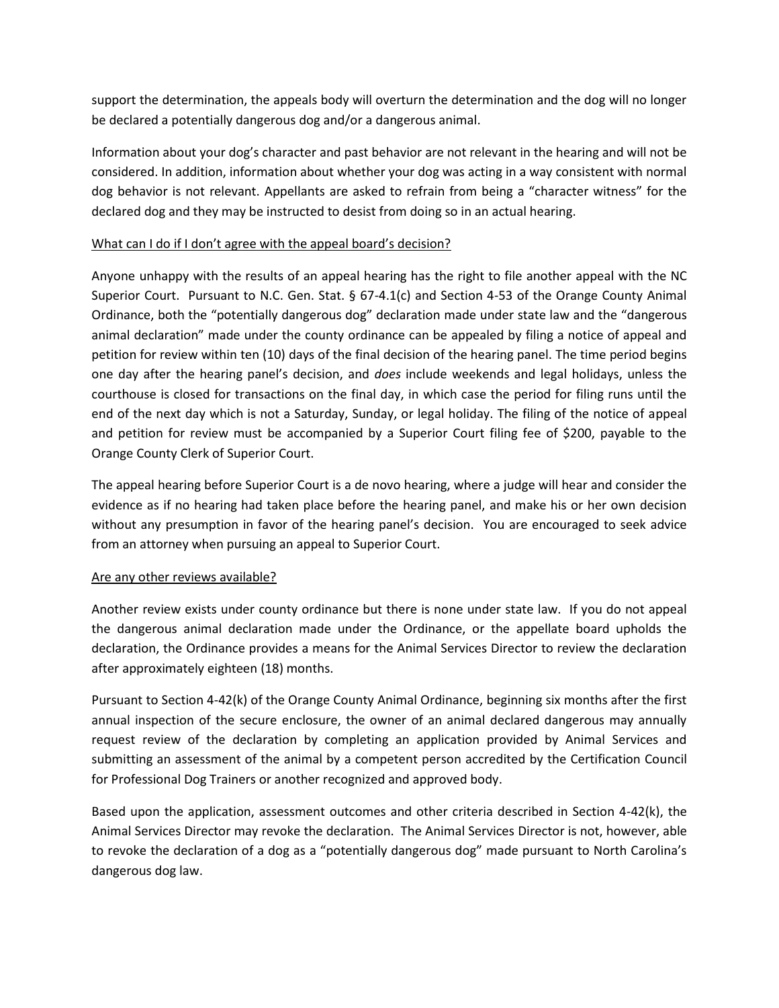support the determination, the appeals body will overturn the determination and the dog will no longer be declared a potentially dangerous dog and/or a dangerous animal.

Information about your dog's character and past behavior are not relevant in the hearing and will not be considered. In addition, information about whether your dog was acting in a way consistent with normal dog behavior is not relevant. Appellants are asked to refrain from being a "character witness" for the declared dog and they may be instructed to desist from doing so in an actual hearing.

#### What can I do if I don't agree with the appeal board's decision?

Anyone unhappy with the results of an appeal hearing has the right to file another appeal with the NC Superior Court. Pursuant to N.C. Gen. Stat. § 67-4.1(c) and Section 4-53 of the Orange County Animal Ordinance, both the "potentially dangerous dog" declaration made under state law and the "dangerous animal declaration" made under the county ordinance can be appealed by filing a notice of appeal and petition for review within ten (10) days of the final decision of the hearing panel. The time period begins one day after the hearing panel's decision, and *does* include weekends and legal holidays, unless the courthouse is closed for transactions on the final day, in which case the period for filing runs until the end of the next day which is not a Saturday, Sunday, or legal holiday. The filing of the notice of appeal and petition for review must be accompanied by a Superior Court filing fee of \$200, payable to the Orange County Clerk of Superior Court.

The appeal hearing before Superior Court is a de novo hearing, where a judge will hear and consider the evidence as if no hearing had taken place before the hearing panel, and make his or her own decision without any presumption in favor of the hearing panel's decision. You are encouraged to seek advice from an attorney when pursuing an appeal to Superior Court.

#### Are any other reviews available?

Another review exists under county ordinance but there is none under state law. If you do not appeal the dangerous animal declaration made under the Ordinance, or the appellate board upholds the declaration, the Ordinance provides a means for the Animal Services Director to review the declaration after approximately eighteen (18) months.

Pursuant to Section 4-42(k) of the Orange County Animal Ordinance, beginning six months after the first annual inspection of the secure enclosure, the owner of an animal declared dangerous may annually request review of the declaration by completing an application provided by Animal Services and submitting an assessment of the animal by a competent person accredited by the Certification Council for Professional Dog Trainers or another recognized and approved body.

Based upon the application, assessment outcomes and other criteria described in Section 4-42(k), the Animal Services Director may revoke the declaration. The Animal Services Director is not, however, able to revoke the declaration of a dog as a "potentially dangerous dog" made pursuant to North Carolina's dangerous dog law.